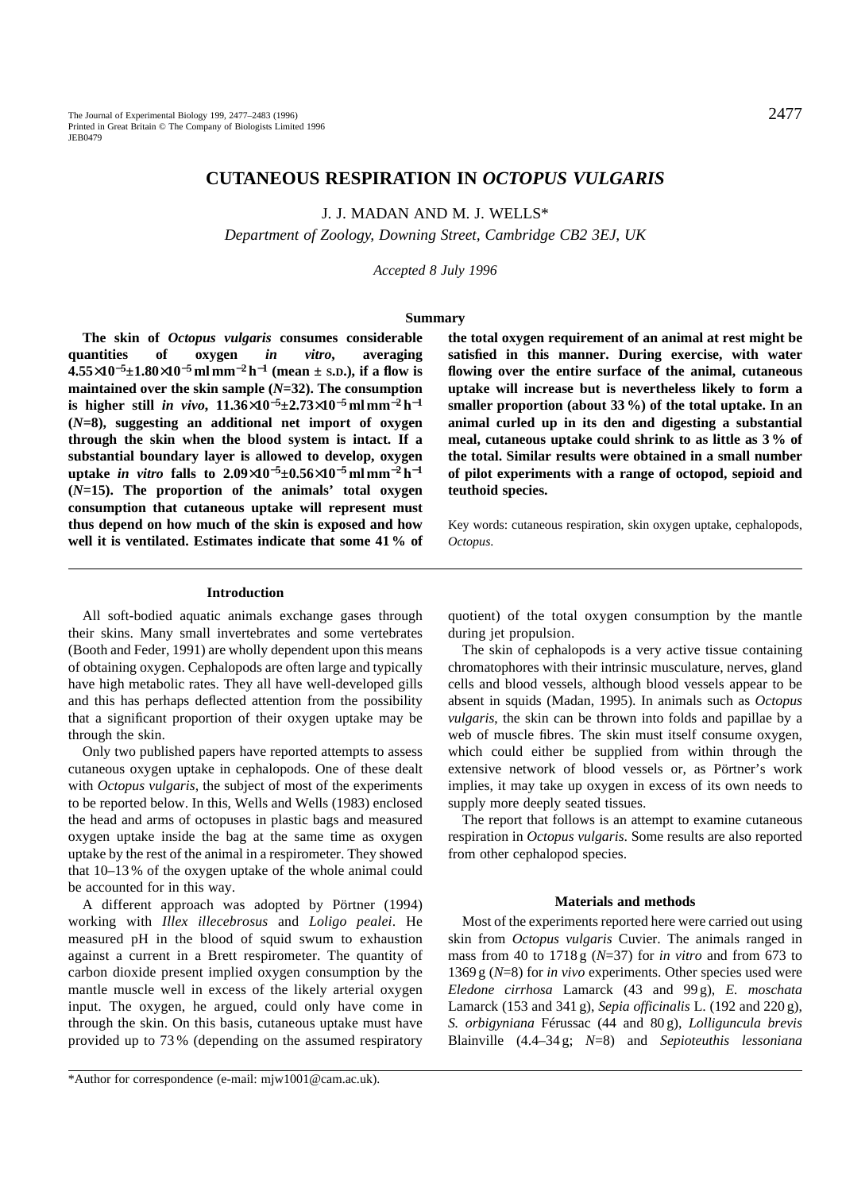# **CUTANEOUS RESPIRATION IN** *OCTOPUS VULGARIS*

J. J. MADAN AND M. J. WELLS\*

*Department of Zoology, Downing Street, Cambridge CB2 3EJ, UK*

*Accepted 8 July 1996*

## **Summary**

**The skin of** *Octopus vulgaris* **consumes considerable quantities of oxygen** *in vitro***, averaging 4.55**×**10**<sup>−</sup>**5±1.80**×**10**−**<sup>5</sup> ml mm**−**<sup>2</sup> h**−**<sup>1</sup> (mean ± S.D.), if a flow is maintained over the skin sample (***N***=32). The consumption is higher still** *in vivo***, 11.36**×**10**<sup>−</sup>**5±2.73**×**10**−**<sup>5</sup> ml mm**−**<sup>2</sup> h**−**<sup>1</sup> (***N***=8), suggesting an additional net import of oxygen through the skin when the blood system is intact. If a substantial boundary layer is allowed to develop, oxygen uptake** *in vitro* **falls to 2.09**×**10**<sup>−</sup>**5±0.56**×**10**−**<sup>5</sup> ml mm**−**<sup>2</sup> h**−**<sup>1</sup> (***N***=15). The proportion of the animals' total oxygen consumption that cutaneous uptake will represent must thus depend on how much of the skin is exposed and how well it is ventilated. Estimates indicate that some 41 % of**

**the total oxygen requirement of an animal at rest might be satisfied in this manner. During exercise, with water flowing over the entire surface of the animal, cutaneous uptake will increase but is nevertheless likely to form a smaller proportion (about 33 %) of the total uptake. In an animal curled up in its den and digesting a substantial meal, cutaneous uptake could shrink to as little as 3 % of the total. Similar results were obtained in a small number of pilot experiments with a range of octopod, sepioid and teuthoid species.**

Key words: cutaneous respiration, skin oxygen uptake, cephalopods, *Octopus*.

#### **Introduction**

All soft-bodied aquatic animals exchange gases through their skins. Many small invertebrates and some vertebrates (Booth and Feder, 1991) are wholly dependent upon this means of obtaining oxygen. Cephalopods are often large and typically have high metabolic rates. They all have well-developed gills and this has perhaps deflected attention from the possibility that a significant proportion of their oxygen uptake may be through the skin.

Only two published papers have reported attempts to assess cutaneous oxygen uptake in cephalopods. One of these dealt with *Octopus vulgaris*, the subject of most of the experiments to be reported below. In this, Wells and Wells (1983) enclosed the head and arms of octopuses in plastic bags and measured oxygen uptake inside the bag at the same time as oxygen uptake by the rest of the animal in a respirometer. They showed that 10–13 % of the oxygen uptake of the whole animal could be accounted for in this way.

A different approach was adopted by Pörtner (1994) working with *Illex illecebrosus* and *Loligo pealei*. He measured pH in the blood of squid swum to exhaustion against a current in a Brett respirometer. The quantity of carbon dioxide present implied oxygen consumption by the mantle muscle well in excess of the likely arterial oxygen input. The oxygen, he argued, could only have come in through the skin. On this basis, cutaneous uptake must have provided up to 73 % (depending on the assumed respiratory

quotient) of the total oxygen consumption by the mantle during jet propulsion.

The skin of cephalopods is a very active tissue containing chromatophores with their intrinsic musculature, nerves, gland cells and blood vessels, although blood vessels appear to be absent in squids (Madan, 1995). In animals such as *Octopus vulgaris*, the skin can be thrown into folds and papillae by a web of muscle fibres. The skin must itself consume oxygen, which could either be supplied from within through the extensive network of blood vessels or, as Pörtner's work implies, it may take up oxygen in excess of its own needs to supply more deeply seated tissues.

The report that follows is an attempt to examine cutaneous respiration in *Octopus vulgaris*. Some results are also reported from other cephalopod species.

### **Materials and methods**

Most of the experiments reported here were carried out using skin from *Octopus vulgaris* Cuvier. The animals ranged in mass from 40 to 1718 g (*N*=37) for *in vitro* and from 673 to 1369 g (*N*=8) for *in vivo* experiments. Other species used were *Eledone cirrhosa* Lamarck (43 and 99 g), *E. moschata* Lamarck (153 and 341 g), *Sepia officinalis* L. (192 and 220 g), *S. orbigyniana* Férussac (44 and 80 g), *Lolliguncula brevis* Blainville (4.4–34 g; *N*=8) and *Sepioteuthis lessoniana*

\*Author for correspondence (e-mail: mjw1001@cam.ac.uk).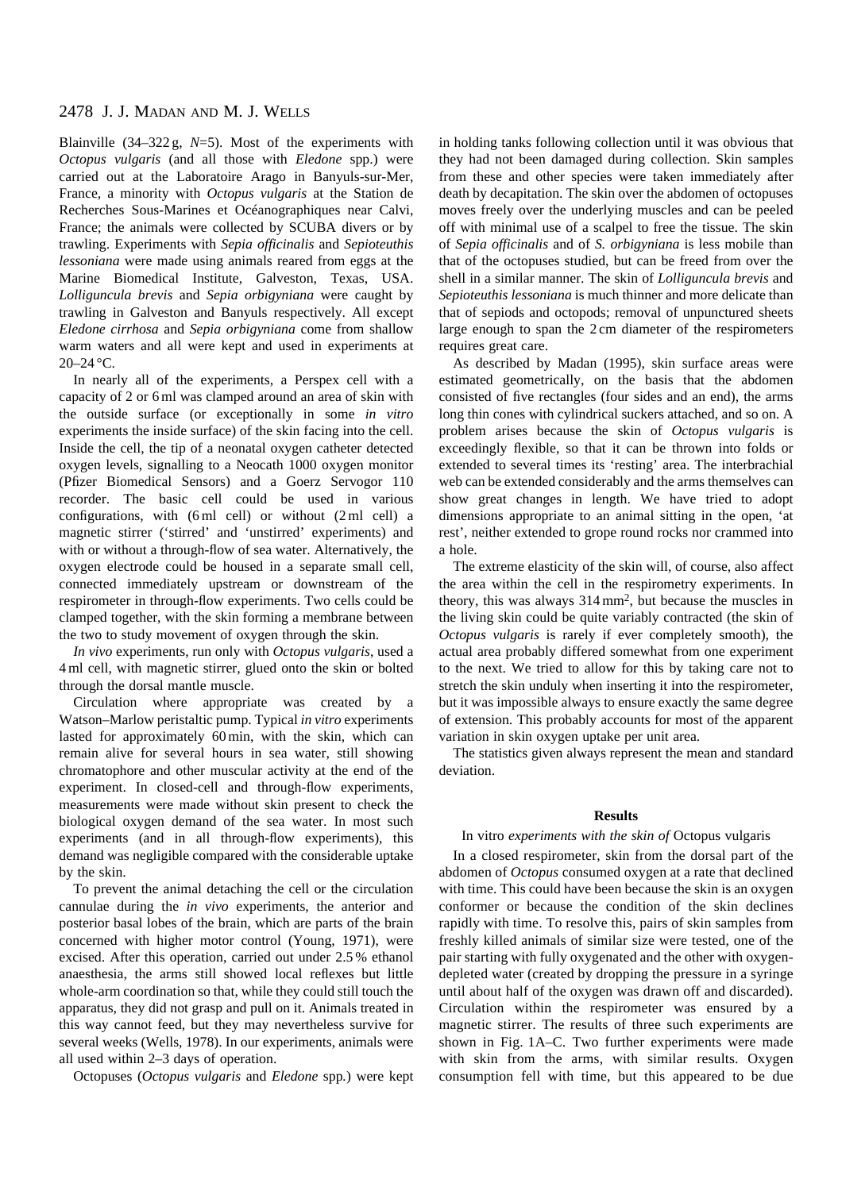# 2478 J. J. MADAN AND M. J. WELLS

Blainville (34–322 g, *N*=5). Most of the experiments with *Octopus vulgaris* (and all those with *Eledone* spp.) were carried out at the Laboratoire Arago in Banyuls-sur-Mer, France, a minority with *Octopus vulgaris* at the Station de Recherches Sous-Marines et Océanographiques near Calvi, France; the animals were collected by SCUBA divers or by trawling. Experiments with *Sepia officinalis* and *Sepioteuthis lessoniana* were made using animals reared from eggs at the Marine Biomedical Institute, Galveston, Texas, USA. *Lolliguncula brevis* and *Sepia orbigyniana* were caught by trawling in Galveston and Banyuls respectively. All except *Eledone cirrhosa* and *Sepia orbigyniana* come from shallow warm waters and all were kept and used in experiments at  $20 - 24$  °C.

In nearly all of the experiments, a Perspex cell with a capacity of 2 or 6 ml was clamped around an area of skin with the outside surface (or exceptionally in some *in vitro* experiments the inside surface) of the skin facing into the cell. Inside the cell, the tip of a neonatal oxygen catheter detected oxygen levels, signalling to a Neocath 1000 oxygen monitor (Pfizer Biomedical Sensors) and a Goerz Servogor 110 recorder. The basic cell could be used in various configurations, with  $(6 \text{ ml cell})$  or without  $(2 \text{ ml cell})$  a magnetic stirrer ('stirred' and 'unstirred' experiments) and with or without a through-flow of sea water. Alternatively, the oxygen electrode could be housed in a separate small cell, connected immediately upstream or downstream of the respirometer in through-flow experiments. Two cells could be clamped together, with the skin forming a membrane between the two to study movement of oxygen through the skin.

*In vivo* experiments, run only with *Octopus vulgaris*, used a 4 ml cell, with magnetic stirrer, glued onto the skin or bolted through the dorsal mantle muscle.

Circulation where appropriate was created by a Watson–Marlow peristaltic pump. Typical *in vitro* experiments lasted for approximately 60 min, with the skin, which can remain alive for several hours in sea water, still showing chromatophore and other muscular activity at the end of the experiment. In closed-cell and through-flow experiments, measurements were made without skin present to check the biological oxygen demand of the sea water. In most such experiments (and in all through-flow experiments), this demand was negligible compared with the considerable uptake by the skin.

To prevent the animal detaching the cell or the circulation cannulae during the *in vivo* experiments, the anterior and posterior basal lobes of the brain, which are parts of the brain concerned with higher motor control (Young, 1971), were excised. After this operation, carried out under 2.5 % ethanol anaesthesia, the arms still showed local reflexes but little whole-arm coordination so that, while they could still touch the apparatus, they did not grasp and pull on it. Animals treated in this way cannot feed, but they may nevertheless survive for several weeks (Wells, 1978). In our experiments, animals were all used within 2–3 days of operation.

Octopuses (*Octopus vulgaris* and *Eledone* spp*.*) were kept

in holding tanks following collection until it was obvious that they had not been damaged during collection. Skin samples from these and other species were taken immediately after death by decapitation. The skin over the abdomen of octopuses moves freely over the underlying muscles and can be peeled off with minimal use of a scalpel to free the tissue. The skin of *Sepia officinalis* and of *S. orbigyniana* is less mobile than that of the octopuses studied, but can be freed from over the shell in a similar manner. The skin of *Lolliguncula brevis* and *Sepioteuthis lessoniana* is much thinner and more delicate than that of sepiods and octopods; removal of unpunctured sheets large enough to span the 2 cm diameter of the respirometers requires great care.

As described by Madan (1995), skin surface areas were estimated geometrically, on the basis that the abdomen consisted of five rectangles (four sides and an end), the arms long thin cones with cylindrical suckers attached, and so on. A problem arises because the skin of *Octopus vulgaris* is exceedingly flexible, so that it can be thrown into folds or extended to several times its 'resting' area. The interbrachial web can be extended considerably and the arms themselves can show great changes in length. We have tried to adopt dimensions appropriate to an animal sitting in the open, 'at rest', neither extended to grope round rocks nor crammed into a hole.

The extreme elasticity of the skin will, of course, also affect the area within the cell in the respirometry experiments. In theory, this was always 314 mm2, but because the muscles in the living skin could be quite variably contracted (the skin of *Octopus vulgaris* is rarely if ever completely smooth), the actual area probably differed somewhat from one experiment to the next. We tried to allow for this by taking care not to stretch the skin unduly when inserting it into the respirometer, but it was impossible always to ensure exactly the same degree of extension. This probably accounts for most of the apparent variation in skin oxygen uptake per unit area.

The statistics given always represent the mean and standard deviation.

#### **Results**

### In vitro *experiments with the skin of* Octopus vulgaris

In a closed respirometer, skin from the dorsal part of the abdomen of *Octopus* consumed oxygen at a rate that declined with time. This could have been because the skin is an oxygen conformer or because the condition of the skin declines rapidly with time. To resolve this, pairs of skin samples from freshly killed animals of similar size were tested, one of the pair starting with fully oxygenated and the other with oxygendepleted water (created by dropping the pressure in a syringe until about half of the oxygen was drawn off and discarded). Circulation within the respirometer was ensured by a magnetic stirrer. The results of three such experiments are shown in Fig. 1A–C. Two further experiments were made with skin from the arms, with similar results. Oxygen consumption fell with time, but this appeared to be due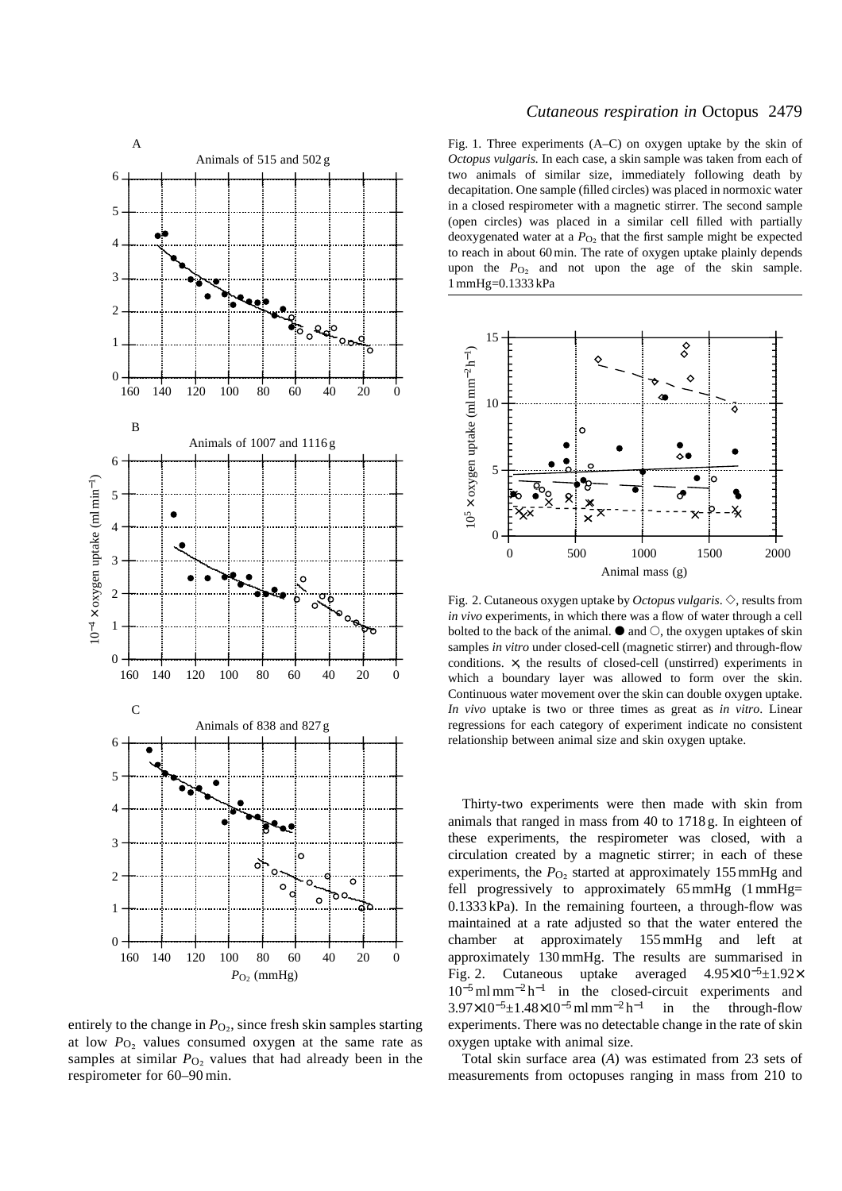

entirely to the change in  $P<sub>O<sub>2</sub></sub>$ , since fresh skin samples starting at low  $P<sub>O<sub>2</sub></sub>$  values consumed oxygen at the same rate as samples at similar  $P_{\text{O}_2}$  values that had already been in the respirometer for 60–90 min.

## *Cutaneous respiration in* Octopus 2479

Fig. 1. Three experiments (A–C) on oxygen uptake by the skin of *Octopus vulgaris.* In each case, a skin sample was taken from each of two animals of similar size, immediately following death by decapitation. One sample (filled circles) was placed in normoxic water in a closed respirometer with a magnetic stirrer. The second sample (open circles) was placed in a similar cell filled with partially deoxygenated water at a  $P_{\text{O}_2}$  that the first sample might be expected to reach in about 60 min. The rate of oxygen uptake plainly depends upon the *P*<sub>O2</sub> and not upon the age of the skin sample. 1 mmHg=0.1333 kPa



Fig. 2. Cutaneous oxygen uptake by *Octopus vulgaris*.  $\diamond$ , results from *in vivo* experiments, in which there was a flow of water through a cell bolted to the back of the animal.  $\bullet$  and  $\circlearrowright$ , the oxygen uptakes of skin samples *in vitro* under closed-cell (magnetic stirrer) and through-flow conditions. ×, the results of closed-cell (unstirred) experiments in which a boundary layer was allowed to form over the skin. Continuous water movement over the skin can double oxygen uptake. *In vivo* uptake is two or three times as great as *in vitro*. Linear regressions for each category of experiment indicate no consistent relationship between animal size and skin oxygen uptake.

Thirty-two experiments were then made with skin from animals that ranged in mass from 40 to 1718 g. In eighteen of these experiments, the respirometer was closed, with a circulation created by a magnetic stirrer; in each of these experiments, the  $P<sub>O<sub>2</sub></sub>$  started at approximately 155 mmHg and fell progressively to approximately  $65 \text{ mmHg}$  (1 mmHg= 0.1333 kPa). In the remaining fourteen, a through-flow was maintained at a rate adjusted so that the water entered the chamber at approximately 155 mmHg and left at approximately 130 mmHg. The results are summarised in Fig. 2. Cutaneous uptake averaged 4.95×10<sup>−</sup>5±1.92×  $10^{-5}$  ml mm<sup>-2</sup> h<sup>-1</sup> in the closed-circuit experiments and  $3.97\times10^{-5}$ ±1.48×10<sup>-5</sup> ml mm<sup>-2</sup> h<sup>-1</sup> in the through-flow experiments. There was no detectable change in the rate of skin oxygen uptake with animal size.

Total skin surface area (*A*) was estimated from 23 sets of measurements from octopuses ranging in mass from 210 to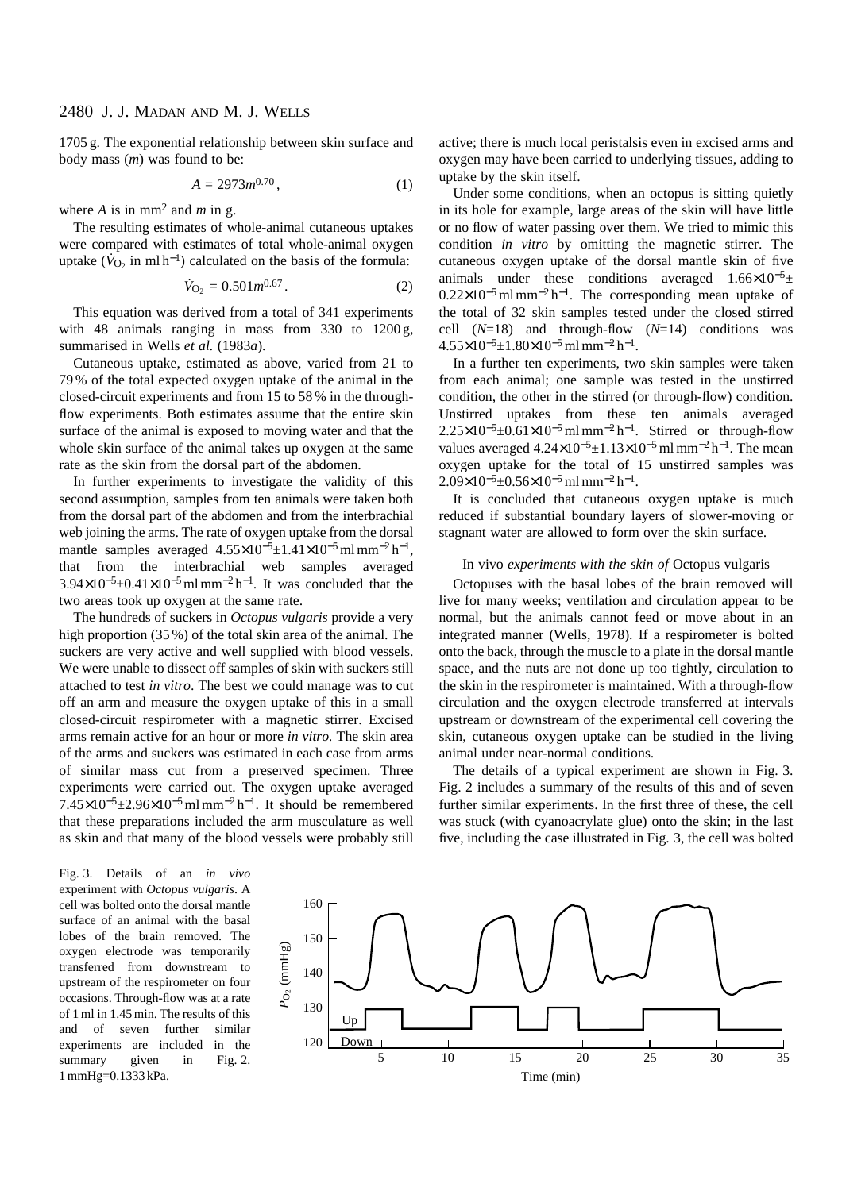1705 g. The exponential relationship between skin surface and body mass (*m*) was found to be:

$$
A = 2973m^{0.70}, \tag{1}
$$

where *A* is in mm<sup>2</sup> and *m* in g.

The resulting estimates of whole-animal cutaneous uptakes were compared with estimates of total whole-animal oxygen uptake ( $\dot{V}_{\Omega_2}$  in ml h<sup>-1</sup>) calculated on the basis of the formula:

$$
\dot{V}_{\text{O}_2} = 0.501m^{0.67}.\tag{2}
$$

This equation was derived from a total of 341 experiments with 48 animals ranging in mass from 330 to 1200 g, summarised in Wells *et al.* (1983*a*).

Cutaneous uptake, estimated as above, varied from 21 to 79 % of the total expected oxygen uptake of the animal in the closed-circuit experiments and from 15 to 58 % in the throughflow experiments. Both estimates assume that the entire skin surface of the animal is exposed to moving water and that the whole skin surface of the animal takes up oxygen at the same rate as the skin from the dorsal part of the abdomen.

In further experiments to investigate the validity of this second assumption, samples from ten animals were taken both from the dorsal part of the abdomen and from the interbrachial web joining the arms. The rate of oxygen uptake from the dorsal mantle samples averaged  $4.55\times10^{-5}$ ±1.41×10<sup>-5</sup>ml mm<sup>-2</sup> h<sup>-1</sup>, that from the interbrachial web samples averaged  $3.94\times10^{-5}$ ±0.41×10<sup>-5</sup>ml mm<sup>-2</sup>h<sup>-1</sup>. It was concluded that the two areas took up oxygen at the same rate.

The hundreds of suckers in *Octopus vulgaris* provide a very high proportion (35 %) of the total skin area of the animal. The suckers are very active and well supplied with blood vessels. We were unable to dissect off samples of skin with suckers still attached to test *in vitro*. The best we could manage was to cut off an arm and measure the oxygen uptake of this in a small closed-circuit respirometer with a magnetic stirrer. Excised arms remain active for an hour or more *in vitro.* The skin area of the arms and suckers was estimated in each case from arms of similar mass cut from a preserved specimen. Three experiments were carried out. The oxygen uptake averaged  $7.45\times10^{-5}$ ±2.96×10<sup>-5</sup> ml mm<sup>-2</sup> h<sup>-1</sup>. It should be remembered that these preparations included the arm musculature as well as skin and that many of the blood vessels were probably still active; there is much local peristalsis even in excised arms and oxygen may have been carried to underlying tissues, adding to uptake by the skin itself.

Under some conditions, when an octopus is sitting quietly in its hole for example, large areas of the skin will have little or no flow of water passing over them. We tried to mimic this condition *in vitro* by omitting the magnetic stirrer. The cutaneous oxygen uptake of the dorsal mantle skin of five animals under these conditions averaged  $1.66\times10^{-5}$ ±  $0.22\times10^{-5}$  ml mm<sup>-2</sup> h<sup>-1</sup>. The corresponding mean uptake of the total of 32 skin samples tested under the closed stirred cell (*N*=18) and through-flow (*N*=14) conditions was 4.55×10<sup>−</sup>5±1.80×10<sup>−</sup>5ml mm−<sup>2</sup> h<sup>−</sup>1.

In a further ten experiments, two skin samples were taken from each animal; one sample was tested in the unstirred condition, the other in the stirred (or through-flow) condition. Unstirred uptakes from these ten animals averaged  $2.25\times10^{-5}$ ±0.61×10<sup>-5</sup> ml mm<sup>-2</sup> h<sup>-1</sup>. Stirred or through-flow values averaged  $4.24\times10^{-5}$ ±1.13×10<sup>-5</sup>ml mm<sup>-2</sup> h<sup>-1</sup>. The mean oxygen uptake for the total of 15 unstirred samples was  $2.09\times10^{-5}$ ±0.56×10<sup>-5</sup> ml mm<sup>-2</sup> h<sup>-1</sup>.

It is concluded that cutaneous oxygen uptake is much reduced if substantial boundary layers of slower-moving or stagnant water are allowed to form over the skin surface.

## In vivo *experiments with the skin of* Octopus vulgaris

Octopuses with the basal lobes of the brain removed will live for many weeks; ventilation and circulation appear to be normal, but the animals cannot feed or move about in an integrated manner (Wells, 1978). If a respirometer is bolted onto the back, through the muscle to a plate in the dorsal mantle space, and the nuts are not done up too tightly, circulation to the skin in the respirometer is maintained. With a through-flow circulation and the oxygen electrode transferred at intervals upstream or downstream of the experimental cell covering the skin, cutaneous oxygen uptake can be studied in the living animal under near-normal conditions.

The details of a typical experiment are shown in Fig. 3. Fig. 2 includes a summary of the results of this and of seven further similar experiments. In the first three of these, the cell was stuck (with cyanoacrylate glue) onto the skin; in the last five, including the case illustrated in Fig. 3, the cell was bolted

Fig. 3. Details of an *in vivo* experiment with *Octopus vulgaris*. A cell was bolted onto the dorsal mantle surface of an animal with the basal lobes of the brain removed. The oxygen electrode was temporarily transferred from downstream to upstream of the respirometer on four occasions. Through-flow was at a rate of 1 ml in 1.45 min. The results of this and of seven further similar experiments are included in the summary given in Fig. 2. 1 mmHg=0.1333 kPa.

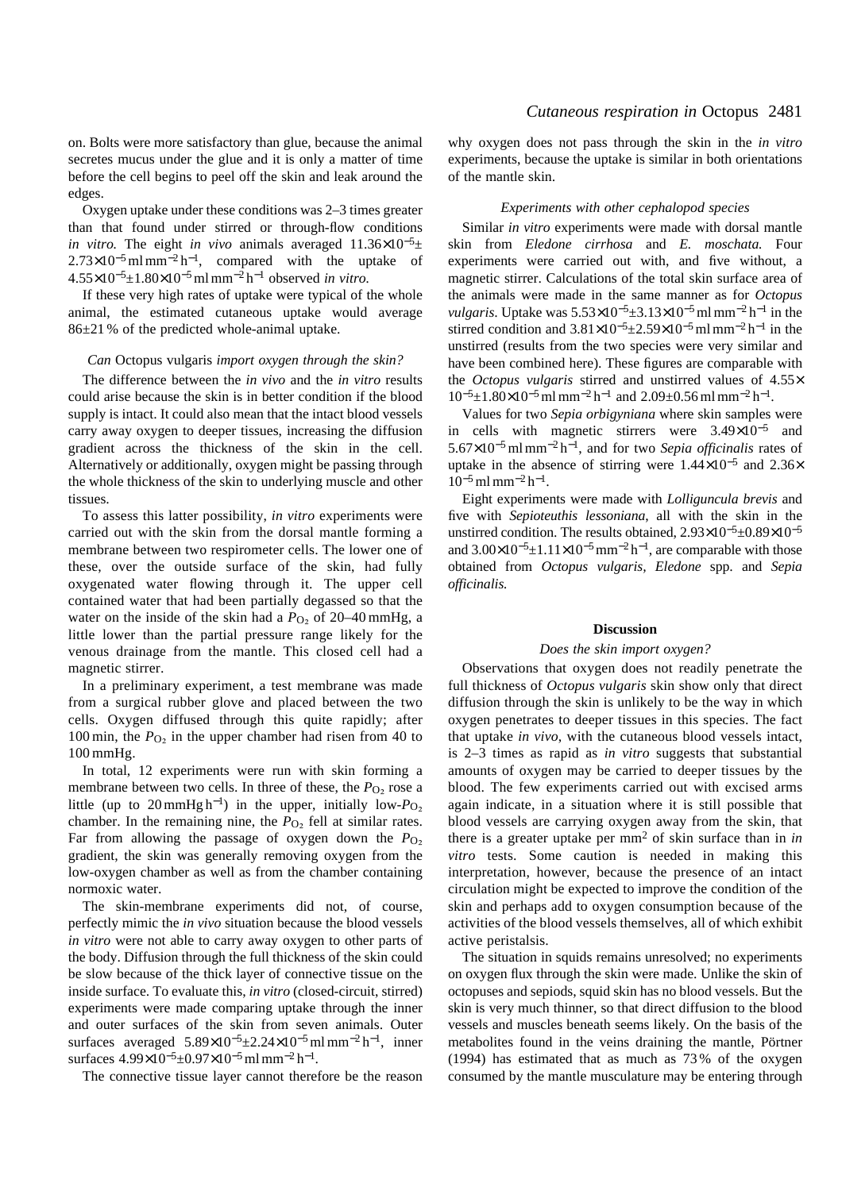on. Bolts were more satisfactory than glue, because the animal secretes mucus under the glue and it is only a matter of time before the cell begins to peel off the skin and leak around the edges.

Oxygen uptake under these conditions was 2–3 times greater than that found under stirred or through-flow conditions *in vitro.* The eight *in vivo* animals averaged  $11.36\times10^{-5}$ ±  $2.73\times10^{-5}$  ml mm<sup>-2</sup> h<sup>-1</sup>, compared with the uptake of 4.55×10<sup>−</sup>5±1.80×10<sup>−</sup>5ml mm−<sup>2</sup> h−<sup>1</sup> observed *in vitro.*

If these very high rates of uptake were typical of the whole animal, the estimated cutaneous uptake would average 86±21 % of the predicted whole-animal uptake.

#### *Can* Octopus vulgaris *import oxygen through the skin?*

The difference between the *in vivo* and the *in vitro* results could arise because the skin is in better condition if the blood supply is intact. It could also mean that the intact blood vessels carry away oxygen to deeper tissues, increasing the diffusion gradient across the thickness of the skin in the cell. Alternatively or additionally, oxygen might be passing through the whole thickness of the skin to underlying muscle and other tissues.

To assess this latter possibility, *in vitro* experiments were carried out with the skin from the dorsal mantle forming a membrane between two respirometer cells. The lower one of these, over the outside surface of the skin, had fully oxygenated water flowing through it. The upper cell contained water that had been partially degassed so that the water on the inside of the skin had a  $P<sub>O</sub>$  of 20–40 mmHg, a little lower than the partial pressure range likely for the venous drainage from the mantle. This closed cell had a magnetic stirrer.

In a preliminary experiment, a test membrane was made from a surgical rubber glove and placed between the two cells. Oxygen diffused through this quite rapidly; after 100 min, the  $P_{\text{O}_2}$  in the upper chamber had risen from 40 to 100 mmHg.

In total, 12 experiments were run with skin forming a membrane between two cells. In three of these, the  $P<sub>O<sub>2</sub></sub>$  rose a little (up to 20 mmHg h<sup>-1</sup>) in the upper, initially low- $P_{\text{O}_2}$ chamber. In the remaining nine, the  $P_{\text{O}_2}$  fell at similar rates. Far from allowing the passage of oxygen down the  $P_{\text{O}_2}$ gradient, the skin was generally removing oxygen from the low-oxygen chamber as well as from the chamber containing normoxic water.

The skin-membrane experiments did not, of course, perfectly mimic the *in vivo* situation because the blood vessels *in vitro* were not able to carry away oxygen to other parts of the body. Diffusion through the full thickness of the skin could be slow because of the thick layer of connective tissue on the inside surface. To evaluate this, *in vitro* (closed-circuit, stirred) experiments were made comparing uptake through the inner and outer surfaces of the skin from seven animals. Outer surfaces averaged  $5.89\times10^{-5}$ ±2.24×10<sup>-5</sup>ml mm<sup>-2</sup> h<sup>-1</sup>, inner surfaces 4.99×10<sup>-5</sup>±0.97×10<sup>-5</sup> ml mm<sup>-2</sup> h<sup>-1</sup>.

The connective tissue layer cannot therefore be the reason

why oxygen does not pass through the skin in the *in vitro* experiments, because the uptake is similar in both orientations of the mantle skin.

## *Experiments with other cephalopod species*

Similar *in vitro* experiments were made with dorsal mantle skin from *Eledone cirrhosa* and *E. moschata.* Four experiments were carried out with, and five without, a magnetic stirrer. Calculations of the total skin surface area of the animals were made in the same manner as for *Octopus vulgaris*. Uptake was  $5.53 \times 10^{-5} \pm 3.13 \times 10^{-5}$  ml mm<sup>-2</sup> h<sup>-1</sup> in the stirred condition and  $3.81\times10^{-5}$ ±2.59×10<sup>-5</sup>ml mm<sup>-2</sup> h<sup>-1</sup> in the unstirred (results from the two species were very similar and have been combined here). These figures are comparable with the *Octopus vulgaris* stirred and unstirred values of 4.55×  $10^{-5} \pm 1.80 \times 10^{-5}$  ml mm<sup>-2</sup> h<sup>-1</sup> and 2.09±0.56 ml mm<sup>-2</sup> h<sup>-1</sup>.

Values for two *Sepia orbigyniana* where skin samples were in cells with magnetic stirrers were 3.49×10−<sup>5</sup> and 5.67×10<sup>−</sup>5ml mm−<sup>2</sup> h<sup>−</sup>1, and for two *Sepia officinalis* rates of uptake in the absence of stirring were 1.44×10−<sup>5</sup> and 2.36×  $10^{-5}$  ml mm<sup>-2</sup> h<sup>-1</sup>.

Eight experiments were made with *Lolliguncula brevis* and five with *Sepioteuthis lessoniana*, all with the skin in the unstirred condition. The results obtained,  $2.93\times10^{-5}$ ±0.89 $\times10^{-5}$ and  $3.00\times10^{-5}$ ±1.11×10<sup>-5</sup> mm<sup>-2</sup> h<sup>-1</sup>, are comparable with those obtained from *Octopus vulgaris, Eledone* spp. and *Sepia officinalis.*

### **Discussion**

## *Does the skin import oxygen?*

Observations that oxygen does not readily penetrate the full thickness of *Octopus vulgaris* skin show only that direct diffusion through the skin is unlikely to be the way in which oxygen penetrates to deeper tissues in this species. The fact that uptake *in vivo*, with the cutaneous blood vessels intact, is 2–3 times as rapid as *in vitro* suggests that substantial amounts of oxygen may be carried to deeper tissues by the blood. The few experiments carried out with excised arms again indicate, in a situation where it is still possible that blood vessels are carrying oxygen away from the skin, that there is a greater uptake per mm<sup>2</sup> of skin surface than in *in vitro* tests. Some caution is needed in making this interpretation, however, because the presence of an intact circulation might be expected to improve the condition of the skin and perhaps add to oxygen consumption because of the activities of the blood vessels themselves, all of which exhibit active peristalsis.

The situation in squids remains unresolved; no experiments on oxygen flux through the skin were made. Unlike the skin of octopuses and sepiods, squid skin has no blood vessels. But the skin is very much thinner, so that direct diffusion to the blood vessels and muscles beneath seems likely. On the basis of the metabolites found in the veins draining the mantle, Pörtner (1994) has estimated that as much as 73 % of the oxygen consumed by the mantle musculature may be entering through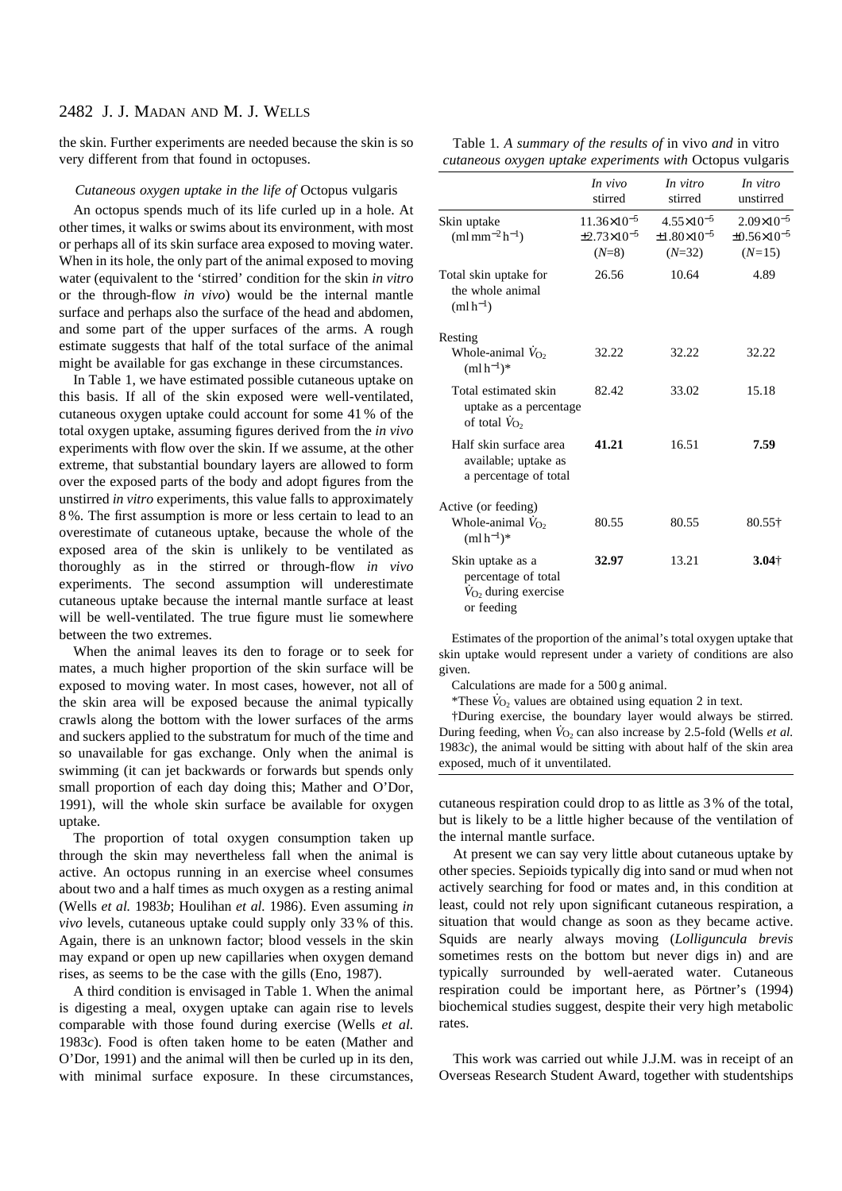# 2482 J. J. MADAN AND M. J. WELLS

the skin. Further experiments are needed because the skin is so very different from that found in octopuses.

## *Cutaneous oxygen uptake in the life of* Octopus vulgaris

An octopus spends much of its life curled up in a hole. At other times, it walks or swims about its environment, with most or perhaps all of its skin surface area exposed to moving water. When in its hole, the only part of the animal exposed to moving water (equivalent to the 'stirred' condition for the skin *in vitro* or the through-flow *in vivo*) would be the internal mantle surface and perhaps also the surface of the head and abdomen, and some part of the upper surfaces of the arms. A rough estimate suggests that half of the total surface of the animal might be available for gas exchange in these circumstances.

In Table 1, we have estimated possible cutaneous uptake on this basis. If all of the skin exposed were well-ventilated, cutaneous oxygen uptake could account for some 41 % of the total oxygen uptake, assuming figures derived from the *in vivo* experiments with flow over the skin. If we assume, at the other extreme, that substantial boundary layers are allowed to form over the exposed parts of the body and adopt figures from the unstirred *in vitro* experiments, this value falls to approximately 8 %. The first assumption is more or less certain to lead to an overestimate of cutaneous uptake, because the whole of the exposed area of the skin is unlikely to be ventilated as thoroughly as in the stirred or through-flow *in vivo* experiments. The second assumption will underestimate cutaneous uptake because the internal mantle surface at least will be well-ventilated. The true figure must lie somewhere between the two extremes.

When the animal leaves its den to forage or to seek for mates, a much higher proportion of the skin surface will be exposed to moving water. In most cases, however, not all of the skin area will be exposed because the animal typically crawls along the bottom with the lower surfaces of the arms and suckers applied to the substratum for much of the time and so unavailable for gas exchange. Only when the animal is swimming (it can jet backwards or forwards but spends only small proportion of each day doing this; Mather and O'Dor, 1991), will the whole skin surface be available for oxygen uptake.

The proportion of total oxygen consumption taken up through the skin may nevertheless fall when the animal is active. An octopus running in an exercise wheel consumes about two and a half times as much oxygen as a resting animal (Wells *et al.* 1983*b*; Houlihan *et al.* 1986). Even assuming *in vivo* levels, cutaneous uptake could supply only 33 % of this. Again, there is an unknown factor; blood vessels in the skin may expand or open up new capillaries when oxygen demand rises, as seems to be the case with the gills (Eno, 1987).

A third condition is envisaged in Table 1. When the animal is digesting a meal, oxygen uptake can again rise to levels comparable with those found during exercise (Wells *et al.* 1983*c*). Food is often taken home to be eaten (Mather and O'Dor, 1991) and the animal will then be curled up in its den, with minimal surface exposure. In these circumstances,

| Table 1. A summary of the results of in vivo and in vitro |  |  |  |  |
|-----------------------------------------------------------|--|--|--|--|
| cutaneous oxygen uptake experiments with Octopus vulgaris |  |  |  |  |

|                                                                                          | In vivo<br>stirred                                           | In vitro<br>stirred                                            | In vitro<br>unstirred                                          |
|------------------------------------------------------------------------------------------|--------------------------------------------------------------|----------------------------------------------------------------|----------------------------------------------------------------|
| Skin uptake<br>$(ml \, \text{mm}^{-2} \, \text{h}^{-1})$                                 | $11.36\times10^{-5}$<br>$\pm 2.73 \times 10^{-5}$<br>$(N=8)$ | $4.55 \times 10^{-5}$<br>$\pm 1.80 \times 10^{-5}$<br>$(N=32)$ | $2.09 \times 10^{-5}$<br>$\pm 0.56 \times 10^{-5}$<br>$(N=15)$ |
| Total skin uptake for<br>the whole animal<br>$(mlh^{-1})$                                | 26.56                                                        | 10.64                                                          | 4.89                                                           |
| Resting                                                                                  |                                                              |                                                                |                                                                |
| Whole-animal $V_{O2}$<br>$(mlh^{-1})^*$                                                  | 32.22                                                        | 32.22                                                          | 32.22                                                          |
| Total estimated skin<br>uptake as a percentage<br>of total $V_{\text{O}}$ ,              | 82.42                                                        | 33.02                                                          | 15.18                                                          |
| Half skin surface area<br>available; uptake as<br>a percentage of total                  | 41.21                                                        | 16.51                                                          | 7.59                                                           |
| Active (or feeding)                                                                      |                                                              |                                                                |                                                                |
| Whole-animal $V_{O2}$<br>$(mlh^{-1})^*$                                                  | 80.55                                                        | 80.55                                                          | 80.55†                                                         |
| Skin uptake as a<br>percentage of total<br>$\dot{V}_{O_2}$ during exercise<br>or feeding | 32.97                                                        | 13.21                                                          | $3.04 +$                                                       |

Estimates of the proportion of the animal's total oxygen uptake that skin uptake would represent under a variety of conditions are also given.

Calculations are made for a 500 g animal.

\*These  $\dot{V}_{\text{O}_2}$  values are obtained using equation 2 in text.

†During exercise, the boundary layer would always be stirred. During feeding, when  $\dot{V}_{O_2}$  can also increase by 2.5-fold (Wells *et al.*) 1983*c*), the animal would be sitting with about half of the skin area exposed, much of it unventilated.

cutaneous respiration could drop to as little as 3 % of the total, but is likely to be a little higher because of the ventilation of the internal mantle surface.

At present we can say very little about cutaneous uptake by other species. Sepioids typically dig into sand or mud when not actively searching for food or mates and, in this condition at least, could not rely upon significant cutaneous respiration, a situation that would change as soon as they became active. Squids are nearly always moving (*Lolliguncula brevis* sometimes rests on the bottom but never digs in) and are typically surrounded by well-aerated water. Cutaneous respiration could be important here, as Pörtner's (1994) biochemical studies suggest, despite their very high metabolic rates.

This work was carried out while J.J.M. was in receipt of an Overseas Research Student Award, together with studentships